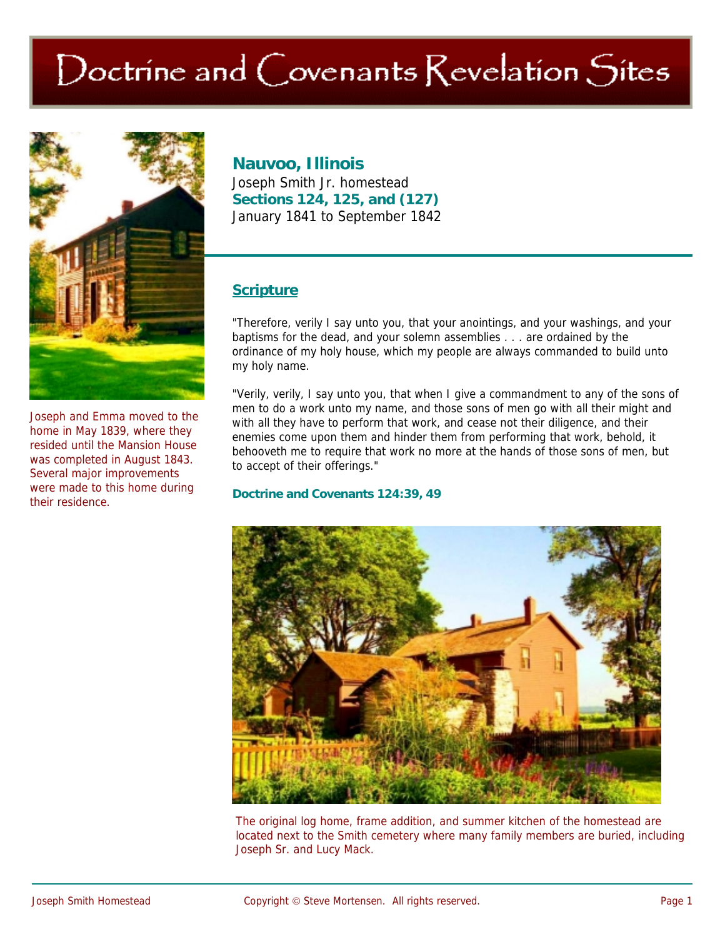# Doctrine and Covenants Revelation Sites



Joseph and Emma moved to the home in May 1839, where they resided until the Mansion House was completed in August 1843. Several major improvements were made to this home during their residence.

## **Nauvoo, Illinois**

Joseph Smith Jr. homestead **Sections 124, 125, and (127)**  January 1841 to September 1842

### **Scripture**

"Therefore, verily I say unto you, that your anointings, and your washings, and your baptisms for the dead, and your solemn assemblies . . . are ordained by the ordinance of my holy house, which my people are always commanded to build unto my holy name.

"Verily, verily, I say unto you, that when I give a commandment to any of the sons of men to do a work unto my name, and those sons of men go with all their might and with all they have to perform that work, and cease not their diligence, and their enemies come upon them and hinder them from performing that work, behold, it behooveth me to require that work no more at the hands of those sons of men, but to accept of their offerings."

#### **Doctrine and Covenants 124:39, 49**



The original log home, frame addition, and summer kitchen of the homestead are located next to the Smith cemetery where many family members are buried, including Joseph Sr. and Lucy Mack.